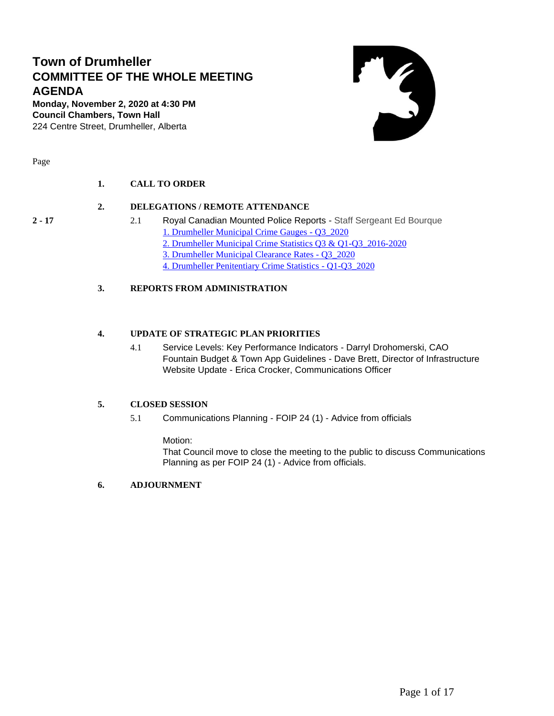### **Town of Drumheller COMMITTEE OF THE WHOLE MEETING AGENDA**

**Monday, November 2, 2020 at 4:30 PM Council Chambers, Town Hall** 224 Centre Street, Drumheller, Alberta



Page

#### **1. CALL TO ORDER**

#### **2. DELEGATIONS / REMOTE ATTENDANCE**

- 
- **2 - 17** 2.1 Royal Canadian Mounted Police Reports Staff Sergeant Ed Bourque [1. Drumheller Municipal Crime Gauges -](#page-1-0) Q3\_2020 [2. Drumheller Municipal Crime Statistics Q3 & Q1-Q3\\_2016-2020](#page-2-0) [3. Drumheller Municipal Clearance Rates -](#page-9-0) Q3\_2020 [4. Drumheller Penitentiary Crime Statistics -](#page-11-0) Q1-Q3\_2020

#### **3. REPORTS FROM ADMINISTRATION**

#### **4. UPDATE OF STRATEGIC PLAN PRIORITIES**

4.1 Service Levels: Key Performance Indicators - Darryl Drohomerski, CAO Fountain Budget & Town App Guidelines - Dave Brett, Director of Infrastructure Website Update - Erica Crocker, Communications Officer

#### **5. CLOSED SESSION**

5.1 Communications Planning - FOIP 24 (1) - Advice from officials

Motion:

That Council move to close the meeting to the public to discuss Communications Planning as per FOIP 24 (1) - Advice from officials.

#### **6. ADJOURNMENT**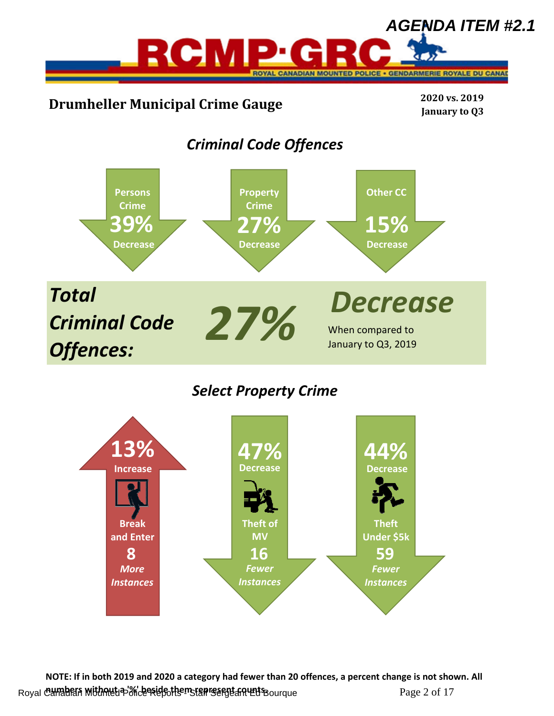<span id="page-1-0"></span>

*Select Property Crime*



**NOTE: If in both 2019 and 2020 a category had fewer than 20 offences, a percent change is not shown. All**  Royal Canadian Mithout a '%' beside them stan care that Haunque Page 2 of 17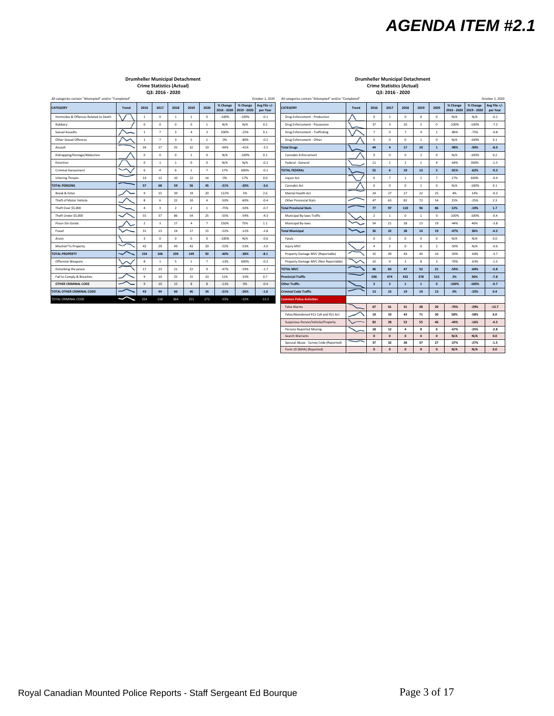# **Drumheller Municipal Detachment**<br>Crime Statistics (Actual) **Details and Crime Statistics (Actual**<br>Q3: 2016 - 2020<br>Q3: 2016 - 2020

<span id="page-2-0"></span>

| October 2, 2020<br>All categories contain "Attempted" and/or "Completed" |                       |                         |                         |                         |                | All categories contain "Attempted" and/or "Completed"<br>October 2 |          |                                     |                          |  |                                      |       |                         |                         |                |                |                         |                         |                         |                    |
|--------------------------------------------------------------------------|-----------------------|-------------------------|-------------------------|-------------------------|----------------|--------------------------------------------------------------------|----------|-------------------------------------|--------------------------|--|--------------------------------------|-------|-------------------------|-------------------------|----------------|----------------|-------------------------|-------------------------|-------------------------|--------------------|
| <b>CATEGORY</b>                                                          | Trend                 | 2016                    | 2017                    | 2018                    | 2019           | 2020                                                               | % Change | % Change<br>2016 - 2020 2019 - 2020 | Avg File +/-<br>per Year |  | <b>CATEGORY</b>                      | Trend | 2016                    | 2017                    | 2018           | 2019           | 2020                    | % Change<br>2016 - 2020 | % Change<br>2019 - 2020 | Avg File<br>per Ye |
| Homicides & Offences Related to Death                                    |                       | $\mathbf{1}$            | $\circ$                 | $\mathbf{1}$            | $\overline{1}$ | $^{\circ}$                                                         | $-100%$  | $-100%$                             | $-0.1$                   |  | Drug Enforcement - Production        |       | $\mathbf 0$             | $\mathbf{1}$            | $\mathbf{0}$   | 0              | $^{\circ}$              | N/A                     | N/A                     | $-0.1$             |
| Robbery                                                                  |                       | $^{\circ}$              | $^{\circ}$              | $\mathbf{0}$            | $^{\circ}$     | $\mathbf{1}$                                                       | N/A      | N/A                                 | 0.2                      |  | Drug Enforcement - Possession        |       | 37                      | $\overline{\mathbf{3}}$ | 10             | 5              | $\mathbf{0}$            | $-100%$                 | $-100%$                 | $-7.2$             |
| Sexual Assaults                                                          |                       | $\mathbf{1}$            | $\overline{7}$          | $\overline{\mathbf{3}}$ | $\Delta$       | 3                                                                  | 200%     | $-25%$                              | 0.1                      |  | Drug Enforcement - Trafficking       |       | $\overline{7}$          | $\circ$                 | $\overline{7}$ | $\overline{a}$ | <sup>1</sup>            | $-86%$                  | $-75%$                  | $-0.8$             |
| Other Sexual Offences                                                    |                       | $\mathbf{1}$            | $\overline{7}$          | $\overline{\mathbf{3}}$ | 5              | $\mathbf{1}$                                                       | 0%       | $-80%$                              | $-0.2$                   |  | Drug Enforcement - Other             |       | $\mathbf{0}$            | $\Omega$                | $\mathbf{0}$   | <sup>1</sup>   | $^{\circ}$              | N/A                     | $-100%$                 | 0.1                |
| Assault                                                                  |                       | 34                      | 37                      | 35                      | 32             | 19                                                                 | $-44%$   | $-41%$                              | $-3.5$                   |  | <b>Total Drugs</b>                   |       | 44                      |                         | 17             | 10             | $\mathbf{1}$            | $-98%$                  | $-90%$                  | $-8.0$             |
| Kidnapping/Hostage/Abduction                                             |                       | $\mathbf 0$             | $^{\circ}$              | $^{\circ}$              | $\mathbf{1}$   | $^{\circ}$                                                         | N/A      | $-100%$                             | 0.1                      |  | Cannabis Enforcement                 |       | $\mathbf{0}$            | $\Omega$                | $\mathbf{0}$   | $\overline{2}$ | $^{\circ}$              | N/A                     | $-100%$                 | 0.2                |
| Extortion                                                                |                       | $\Omega$                | $\overline{1}$          | $\mathbf{1}$            | $\mathbf{0}$   | $^{\circ}$                                                         | N/A      | N/A                                 | $-0.1$                   |  | Federal - General                    |       | 11                      | $\overline{2}$          | $\overline{2}$ | $\mathbf{1}$   | $\mathfrak{a}$          | $-64%$                  | 300%                    | $-1.5$             |
| <b>Criminal Harassment</b>                                               |                       | 6                       | $\overline{a}$          | 6                       | $\mathbf{1}$   | $\overline{7}$                                                     | 17%      | 600%                                | $-0.1$                   |  | <b>TOTAL FEDERAL</b>                 |       | 55                      | 6                       | 19             | 13             | 5                       | $-91%$                  | $-62%$                  | $-9.3$             |
| <b>Uttering Threats</b>                                                  |                       | 14                      | 12                      | 10                      | 12             | 14                                                                 | 0%       | 17%                                 | 0.0                      |  | Liquor Act                           |       | 6                       | $\overline{z}$          | $\mathbf{1}$   | 1              | $\overline{7}$          | 17%                     | 600%                    | $-0.4$             |
| <b><i>FOTAL PERSONS</i></b>                                              |                       | 57                      | 68                      | 59                      | 56             | 45                                                                 | $-21%$   | $-20%$                              | $-3.6$                   |  | Cannabis Act                         |       | $\mathbf{0}$            | $^{\circ}$              | $\mathbf{0}$   | <sup>1</sup>   | $^{\circ}$              | N/A                     | $-100%$                 | 0.1                |
| Break & Enter                                                            |                       | 9                       | 15                      | 39                      | 19             | 20                                                                 | 122%     | 5%                                  | 2.6                      |  | Mental Health Act                    |       | 24                      | 27                      | 27             | 22             | 25                      | 4%                      | 14%                     | $-0.3$             |
| Theft of Motor Vehicle                                                   |                       | 8                       | 6                       | 22                      | 10             | $\overline{4}$                                                     | $-50%$   | $-60%$                              | $-0.4$                   |  | <b>Other Provincial Stats</b>        |       | 47                      | 63                      | 82             | 72             | 54                      | 15%                     | $-25%$                  | 2.3                |
| Theft Over \$5,000                                                       |                       | 4                       | $\overline{\mathbf{3}}$ | $\overline{2}$          | $\overline{2}$ | $\mathbf{1}$                                                       | $-75%$   | $-50%$                              | $-0.7$                   |  | <b>Total Provincial Stats</b>        |       | 77                      | 97                      | 110            | 96             | 86                      | 12%                     | $-10%$                  | 1.7                |
| Theft Under \$5,000                                                      |                       | 55                      | 37                      | 86                      | 54             | 25                                                                 | $-55%$   | $-54%$                              | $-4.3$                   |  | Municipal By-laws Traffic            |       | $\overline{2}$          | $\mathbf{1}$            | $^{\circ}$     | <sup>1</sup>   | $^{\circ}$              | $-100%$                 | $-100%$                 | $-0.4$             |
| Possn Stn Goods                                                          |                       | $\overline{2}$          | $\overline{\mathbf{3}}$ | 17                      | $\overline{a}$ | $\overline{7}$                                                     | 250%     | 75%                                 | 1.1                      |  | Municipal By-laws                    |       | 34                      | 21                      | 28             | 13             | 19                      | $-44%$                  | 46%                     | $-3.8$             |
| Fraud                                                                    |                       | 31                      | 13                      | 24                      | 17             | 15                                                                 | $-52%$   | $-12%$                              | $-2.8$                   |  | <b>Total Municipal</b>               |       | 36                      | 22                      | 28             | $14$           | 19                      | $-47%$                  | 36%                     | $-4.2$             |
| Arson                                                                    |                       | $\overline{\mathbf{3}}$ | $^{\circ}$              | $\Omega$                | $^{\circ}$     | $^{\circ}$                                                         | $-100%$  | N/A                                 | $-0.6$                   |  | Fatals                               |       | $\mathbf{0}$            | $\Omega$                | $^{\circ}$     | $^{\circ}$     | $\Omega$                | N/A                     | N/A                     | 0.0                |
| Mischief To Property                                                     | $\tilde{\phantom{a}}$ | 42                      | 29                      | 49                      | 43             | 20                                                                 | $-52%$   | $-53%$                              | $-3.0$                   |  | Injury MVC                           |       | $\Delta$                | $\mathcal{L}$           | $\mathbf{0}$   | $^{\circ}$     | $\overline{2}$          | $-50%$                  | N/A                     | $-0.6$             |
| <b>FOTAL PROPERTY</b>                                                    |                       | 154                     | 106                     | 239                     | 149            | 92                                                                 | $-40%$   | $-38%$                              | $-8.1$                   |  | Property Damage MVC (Reportable)     |       | 32                      | 49                      | 44             | 44             | 16                      | $-50%$                  | $-64%$                  | $-3.7$             |
| Offensive Weapons                                                        |                       | $\mathbf{R}$            | $\mathbf{1}$            | 5                       | $\mathbf{1}$   | $\overline{7}$                                                     | $-13%$   | 600%                                | $-0.2$                   |  | Property Damage MVC (Non Reportable) |       | 10                      | $\mathbf{Q}$            | $\mathbf{3}$   | 8              | $\overline{\mathbf{3}}$ | $-70%$                  | $-63%$                  | $-1.5$             |
| Disturbing the peace                                                     |                       | 17                      | 23                      | 21                      | 22             | 9                                                                  | $-47%$   | $-59%$                              | $-1.7$                   |  | <b>TOTAL MVC</b>                     |       | 46                      | 60                      | 47             | 52             | 21                      | $-54%$                  | $-60%$                  | $-5.8$             |
| Fail to Comply & Breaches                                                |                       | 9                       | 10                      | 25                      | 15             | 10                                                                 | 11%      | $-33%$                              | 0.7                      |  | <b>Provincial Traffic</b>            |       | 506                     | 474                     | 432            | 378            | 515                     | 2%                      | 36%                     | $-7.8$             |
| OTHER CRIMINAL CODE                                                      |                       | $\overline{9}$          | 10                      | 15                      | 8              | 8                                                                  | $-11%$   | 0%                                  | $-0.4$                   |  | <b>Other Traffic</b>                 |       | $\overline{\mathbf{3}}$ | $\overline{2}$          | $\mathbf{1}$   | $\mathbf{1}$   | $\mathbf{0}$            | $-100%$                 | $-100%$                 | $-0.7$             |
| TOTAL OTHER CRIMINAL CODE                                                |                       | 43                      | 44                      | 66                      | 46             | 34                                                                 | $-21%$   | $-26%$                              | $-1.6$                   |  | <b>Criminal Code Traffic</b>         |       | 13                      | 15                      | 19             | 19             | 13                      | 0%                      | $-32%$                  | 0.4                |
| TOTAL CRIMINAL CODE                                                      | ∽                     | 254                     | 218                     | 364                     | 251            | 171                                                                | $-33%$   | $-32%$                              | $-13.3$                  |  | <b>Common Police Activities</b>      |       |                         |                         |                |                |                         |                         |                         |                    |
|                                                                          |                       |                         |                         |                         |                |                                                                    |          |                                     |                          |  |                                      |       |                         |                         |                |                |                         |                         |                         |                    |

### **Drumheller Municipal Detachment Drumheller Municipal Detachment Crime Statistics (Actual) Crime Statistics (Actual)**

| October 2, 2020          | All categories contain "Attempted" and/or "Completed" |              |                         |                         |                |                |                         |                         |                         | October 2, 2020          |
|--------------------------|-------------------------------------------------------|--------------|-------------------------|-------------------------|----------------|----------------|-------------------------|-------------------------|-------------------------|--------------------------|
| Avg File +/-<br>per Year | <b>CATEGORY</b>                                       | <b>Trend</b> | 2016                    | 2017                    | 2018           | 2019           | 2020                    | % Change<br>2016 - 2020 | % Change<br>2019 - 2020 | Avg File +/-<br>per Year |
| $-0.1$                   | Drug Enforcement - Production                         |              | $\Omega$                | $\mathbf{1}$            | ó              | $\Omega$       | $\Omega$                | N/A                     | N/A                     | $-0.1$                   |
| 0.2                      | Drug Enforcement - Possession                         |              | 37                      | $\overline{\mathbf{3}}$ | 10             | 5              | $\mathbf 0$             | $-100%$                 | $-100%$                 | $-7.2$                   |
| 0.1                      | Drug Enforcement - Trafficking                        |              | $\overline{7}$          | $\mathbf 0$             | 7              | 4              | $\mathbf 1$             | $-86%$                  | $-75%$                  | $-0.8$                   |
| $-0.2$                   | Drug Enforcement - Other                              |              | 0                       | $\mathbf 0$             | $\mathbf 0$    | $\,$ 1 $\,$    | $\mathbf 0$             | N/A                     | $-100%$                 | 0.1                      |
| $-3.5$                   | <b>Total Drugs</b>                                    |              | 44                      | $\ddot{a}$              | 17             | 10             | $\mathbf{1}$            | $-98%$                  | $-90%$                  | $-8.0$                   |
| 0.1                      | Cannabis Enforcement                                  |              | 0                       | $\mathbf 0$             | 0              | $\overline{2}$ | $^{\circ}$              | N/A                     | $-100%$                 | 0.2                      |
| $-0.1$                   | Federal - General                                     |              | 11                      | $\overline{2}$          | $\overline{2}$ | $\mathbf{1}$   | 4                       | $-64%$                  | 300%                    | $-1.5$                   |
| $-0.1$                   | <b>TOTAL FEDERAL</b>                                  |              | 55                      | 6                       | 19             | 13             | $\overline{\mathbf{5}}$ | $-91%$                  | $-62%$                  | $-9.3$                   |
| 0.0                      | Liquor Act                                            |              | 6                       | $\overline{7}$          | $\mathbf{1}$   | $\mathbf{1}$   | $\overline{7}$          | 17%                     | 600%                    | $-0.4$                   |
| $-3.6$                   | Cannabis Act                                          |              | 0                       | $\mathbf 0$             | 0              | $\,$ 1 $\,$    | 0                       | N/A                     | $-100%$                 | 0.1                      |
| 2.6                      | Mental Health Act                                     |              | 24                      | 27                      | 27             | 22             | 25                      | 4%                      | 14%                     | $-0.3$                   |
| $-0.4$                   | <b>Other Provincial Stats</b>                         |              | 47                      | 63                      | 82             | 72             | 54                      | 15%                     | $-25%$                  | 2.3                      |
| $-0.7$                   | <b>Total Provincial Stats</b>                         |              | 77                      | 97                      | 110            | 96             | 86                      | 12%                     | $-10%$                  | 1.7                      |
| $-4.3$                   | Municipal By-laws Traffic                             |              | $\overline{\mathbf{2}}$ | $\,$ 1 $\,$             | $\mathbf 0$    | $\,$ 1 $\,$    | $\mathbf 0$             | $-100%$                 | $-100%$                 | $-0.4$                   |
| 1.1                      | Municipal By-laws                                     |              | 34                      | 21                      | 28             | 13             | 19                      | $-44%$                  | 46%                     | $-3.8$                   |
| $-2.8$                   | <b>Total Municipal</b>                                |              | 36                      | 22                      | 28             | 14             | 19                      | $-47%$                  | 36%                     | $-4.2$                   |
| $-0.6$                   | Fatals                                                |              | 0                       | $\mathbf 0$             | $\mathbf 0$    | $\mathbf 0$    | $\mathbf{0}$            | N/A                     | N/A                     | 0.0                      |
| $-3.0$                   | Injury MVC                                            |              | 4                       | $\mathbf 2$             | $\mathbf 0$    | $\mathbf 0$    | $\overline{2}$          | $-50%$                  | N/A                     | $-0.6$                   |
| $-8.1$                   | Property Damage MVC (Reportable)                      |              | 32                      | 49                      | 44             | 44             | 16                      | $-50%$                  | $-64%$                  | $-3.7$                   |
| $-0.2$                   | Property Damage MVC (Non Reportable)                  |              | 10                      | $\mathsf g$             | 3              | 8              | 3                       | $-70%$                  | $-63%$                  | $-1.5$                   |
| $-1.7$                   | <b>TOTAL MVC</b>                                      |              | 46                      | 60                      | 47             | 52             | 21                      | $-54%$                  | $-60%$                  | $-5.8$                   |
| 0.7                      | <b>Provincial Traffic</b>                             |              | 506                     | 474                     | 432            | 378            | 515                     | 2%                      | 36%                     | $-7.8$                   |
| $-0.4$                   | <b>Other Traffic</b>                                  |              | $\overline{\mathbf{3}}$ | $\overline{2}$          | $\mathbf{1}$   | $\mathbf{1}$   | $\mathbf{0}$            | $-100%$                 | $-100%$                 | $-0.7$                   |
| $-1.6$                   | <b>Criminal Code Traffic</b>                          |              | 13                      | 15                      | 19             | 19             | 13                      | 0%                      | $-32%$                  | 0.4                      |
| $-13.3$                  | <b>Common Police Activities</b>                       |              |                         |                         |                |                |                         |                         |                         |                          |
|                          | <b>False Alarms</b>                                   |              | 67                      | 61                      | 31             | 28             | 20                      | $-70%$                  | $-29%$                  | $-12.7$                  |
|                          | False/Abandoned 911 Call and 911 Act                  |              | 19                      | 33                      | 43             | 71             | 30                      | 58%                     | $-58%$                  | $6.0\,$                  |
|                          | Suspicious Person/Vehicle/Property                    |              | 82                      | 28                      | 52             | 55             | 46                      | $-44%$                  | $-16%$                  | $-4.5$                   |
|                          | <b>Persons Reported Missing</b>                       |              | 18                      | 12                      | 4              | 8              | 6                       | $-67%$                  | $-25%$                  | $-2.8$                   |
|                          | Search Warrants                                       |              | $\mathbf{0}$            | $\mathbf{0}$            | $\mathbf{0}$   | $\mathbf{0}$   | $\mathbf{0}$            | N/A                     | N/A                     | 0.0                      |
|                          | Spousal Abuse - Survey Code (Reported)                |              | 37                      | 32                      | 28             | 37             | 27                      | $-27%$                  | $-27%$                  | $-1.5$                   |
|                          | Form 10 (MHA) (Reported)                              |              | $\mathbf{0}$            | $\mathbf{0}$            | $\mathbf{0}$   | $\mathbf{0}$   | $\mathbf{0}$            | N/A                     | N/A                     | 0.0                      |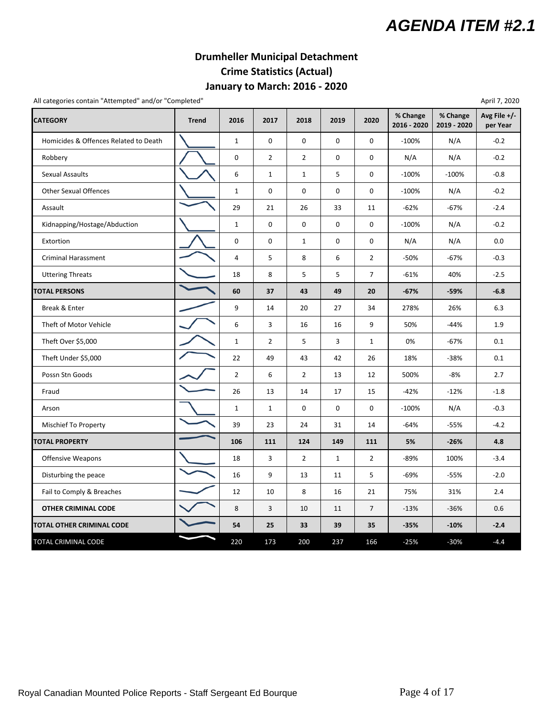### **Drumheller Municipal Detachment Crime Statistics (Actual) January to March: 2016 ‐ 2020**

All categories contain "Attempted" and/or "Completed" April 7, 2020

| <b>CATEGORY</b>                       | <b>Trend</b> | 2016           | 2017           | 2018           | 2019         | 2020           | % Change<br>2016 - 2020 | % Change<br>2019 - 2020 | .թ. = -<br>Avg File $+/-$<br>per Year |
|---------------------------------------|--------------|----------------|----------------|----------------|--------------|----------------|-------------------------|-------------------------|---------------------------------------|
| Homicides & Offences Related to Death |              | $\mathbf{1}$   | 0              | 0              | 0            | 0              | $-100%$                 | N/A                     | $-0.2$                                |
| Robbery                               |              | 0              | $\overline{2}$ | $\overline{2}$ | 0            | 0              | N/A                     | N/A                     | $-0.2$                                |
| <b>Sexual Assaults</b>                |              | 6              | $\mathbf{1}$   | $\mathbf{1}$   | 5            | 0              | $-100%$                 | $-100%$                 | $-0.8$                                |
| <b>Other Sexual Offences</b>          |              | $\mathbf{1}$   | $\mathsf 0$    | 0              | 0            | 0              | $-100%$                 | N/A                     | $-0.2$                                |
| Assault                               |              | 29             | 21             | 26             | 33           | 11             | $-62%$                  | $-67%$                  | $-2.4$                                |
| Kidnapping/Hostage/Abduction          |              | $\mathbf{1}$   | 0              | 0              | 0            | 0              | $-100%$                 | N/A                     | $-0.2$                                |
| Extortion                             |              | 0              | $\pmb{0}$      | $\mathbf{1}$   | 0            | 0              | N/A                     | N/A                     | 0.0                                   |
| <b>Criminal Harassment</b>            |              | 4              | 5              | 8              | 6            | $\overline{2}$ | $-50%$                  | $-67%$                  | $-0.3$                                |
| <b>Uttering Threats</b>               |              | 18             | 8              | 5              | 5            | $\overline{7}$ | $-61%$                  | 40%                     | $-2.5$                                |
| <b>TOTAL PERSONS</b>                  |              | 60             | 37             | 43             | 49           | 20             | $-67%$                  | $-59%$                  | $-6.8$                                |
| Break & Enter                         |              | 9              | 14             | 20             | 27           | 34             | 278%                    | 26%                     | 6.3                                   |
| Theft of Motor Vehicle                |              | 6              | 3              | 16             | 16           | 9              | 50%                     | $-44%$                  | 1.9                                   |
| Theft Over \$5,000                    |              | $\mathbf{1}$   | $\overline{2}$ | 5              | 3            | $\mathbf{1}$   | 0%                      | $-67%$                  | 0.1                                   |
| Theft Under \$5,000                   |              | 22             | 49             | 43             | 42           | 26             | 18%                     | $-38%$                  | 0.1                                   |
| Possn Stn Goods                       |              | $\overline{2}$ | 6              | $\overline{2}$ | 13           | 12             | 500%                    | -8%                     | 2.7                                   |
| Fraud                                 |              | 26             | 13             | 14             | 17           | 15             | $-42%$                  | $-12%$                  | $-1.8$                                |
| Arson                                 |              | $\mathbf{1}$   | $\mathbf{1}$   | 0              | 0            | 0              | $-100%$                 | N/A                     | $-0.3$                                |
| Mischief To Property                  |              | 39             | 23             | 24             | 31           | 14             | $-64%$                  | $-55%$                  | $-4.2$                                |
| <b>TOTAL PROPERTY</b>                 |              | 106            | 111            | 124            | 149          | 111            | 5%                      | $-26%$                  | 4.8                                   |
| Offensive Weapons                     |              | 18             | 3              | $\overline{2}$ | $\mathbf{1}$ | $\overline{2}$ | $-89%$                  | 100%                    | $-3.4$                                |
| Disturbing the peace                  |              | 16             | 9              | 13             | 11           | 5              | $-69%$                  | $-55%$                  | $-2.0$                                |
| Fail to Comply & Breaches             |              | 12             | 10             | 8              | 16           | 21             | 75%                     | 31%                     | 2.4                                   |
| <b>OTHER CRIMINAL CODE</b>            |              | 8              | 3              | 10             | 11           | $\overline{7}$ | $-13%$                  | $-36%$                  | 0.6                                   |
| TOTAL OTHER CRIMINAL CODE             |              | 54             | 25             | 33             | 39           | 35             | $-35%$                  | $-10%$                  | $-2.4$                                |
| TOTAL CRIMINAL CODE                   |              | 220            | 173            | 200            | 237          | 166            | $-25%$                  | $-30%$                  | $-4.4$                                |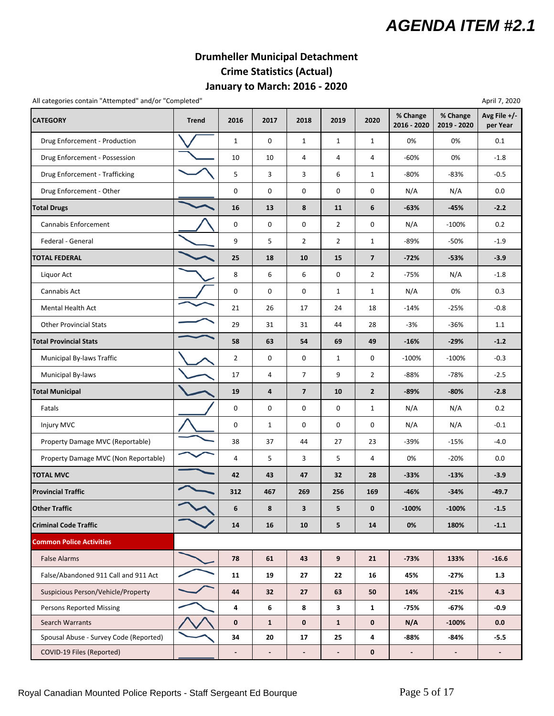### **January to March: 2016 ‐ 2020 Drumheller Municipal Detachment Crime Statistics (Actual)**

All categories contain "Attempted" and/or "Completed" April 7, 2020

| <b>CATEGORY</b>                        | <b>Trend</b> | 2016                     | 2017                     | 2018                     | 2019                     | 2020                    | % Change<br>2016 - 2020  | % Change<br>2019 - 2020  | Avg File +/-<br>per Year |
|----------------------------------------|--------------|--------------------------|--------------------------|--------------------------|--------------------------|-------------------------|--------------------------|--------------------------|--------------------------|
| Drug Enforcement - Production          |              | $\mathbf{1}$             | 0                        | $\mathbf{1}$             | $\mathbf{1}$             | $\mathbf{1}$            | 0%                       | 0%                       | 0.1                      |
| Drug Enforcement - Possession          |              | 10                       | 10                       | 4                        | $\overline{4}$           | 4                       | $-60%$                   | 0%                       | $-1.8$                   |
| Drug Enforcement - Trafficking         |              | 5                        | 3                        | 3                        | 6                        | $\mathbf{1}$            | $-80%$                   | $-83%$                   | $-0.5$                   |
| Drug Enforcement - Other               |              | 0                        | 0                        | 0                        | 0                        | 0                       | N/A                      | N/A                      | 0.0                      |
| <b>Total Drugs</b>                     |              | 16                       | 13                       | 8                        | 11                       | 6                       | -63%                     | $-45%$                   | $-2.2$                   |
| Cannabis Enforcement                   |              | 0                        | 0                        | 0                        | $\overline{2}$           | 0                       | N/A                      | $-100%$                  | 0.2                      |
| Federal - General                      |              | 9                        | 5                        | $\overline{2}$           | $\overline{2}$           | $\mathbf{1}$            | -89%                     | -50%                     | $-1.9$                   |
| <b>TOTAL FEDERAL</b>                   |              | 25                       | 18                       | 10                       | 15                       | $\overline{\mathbf{z}}$ | $-72%$                   | $-53%$                   | $-3.9$                   |
| Liquor Act                             |              | 8                        | 6                        | 6                        | 0                        | $\overline{2}$          | $-75%$                   | N/A                      | $-1.8$                   |
| Cannabis Act                           |              | 0                        | 0                        | $\pmb{0}$                | $\mathbf{1}$             | $\mathbf{1}$            | N/A                      | 0%                       | 0.3                      |
| <b>Mental Health Act</b>               |              | 21                       | 26                       | 17                       | 24                       | 18                      | $-14%$                   | $-25%$                   | $-0.8$                   |
| <b>Other Provincial Stats</b>          |              | 29                       | 31                       | 31                       | 44                       | 28                      | $-3%$                    | $-36%$                   | 1.1                      |
| <b>Total Provincial Stats</b>          |              | 58                       | 63                       | 54                       | 69                       | 49                      | $-16%$                   | $-29%$                   | $-1.2$                   |
| Municipal By-laws Traffic              |              | $\overline{2}$           | 0                        | 0                        | $\mathbf{1}$             | 0                       | $-100%$                  | $-100%$                  | $-0.3$                   |
| <b>Municipal By-laws</b>               |              | 17                       | 4                        | $\overline{7}$           | 9                        | $\overline{2}$          | $-88%$                   | $-78%$                   | $-2.5$                   |
| <b>Total Municipal</b>                 |              | 19                       | 4                        | $\overline{7}$           | 10                       | $\overline{2}$          | -89%                     | $-80%$                   | $-2.8$                   |
| Fatals                                 |              | 0                        | 0                        | 0                        | 0                        | $\mathbf{1}$            | N/A                      | N/A                      | 0.2                      |
| Injury MVC                             |              | 0                        | $\mathbf{1}$             | 0                        | $\mathbf 0$              | 0                       | N/A                      | N/A                      | $-0.1$                   |
| Property Damage MVC (Reportable)       |              | 38                       | 37                       | 44                       | 27                       | 23                      | -39%                     | $-15%$                   | $-4.0$                   |
| Property Damage MVC (Non Reportable)   |              | 4                        | 5                        | 3                        | 5                        | 4                       | 0%                       | $-20%$                   | 0.0                      |
| <b>TOTAL MVC</b>                       |              | 42                       | 43                       | 47                       | 32                       | 28                      | $-33%$                   | $-13%$                   | $-3.9$                   |
| <b>Provincial Traffic</b>              |              | 312                      | 467                      | 269                      | 256                      | 169                     | -46%                     | $-34%$                   | $-49.7$                  |
| <b>Other Traffic</b>                   |              | 6                        | 8                        | 3                        | 5                        | $\mathbf{0}$            | $-100%$                  | $-100%$                  | $-1.5$                   |
| <b>Criminal Code Traffic</b>           |              | 14                       | 16                       | 10                       | $5\phantom{.0}$          | 14                      | 0%                       | 180%                     | $-1.1$                   |
| <b>Common Police Activities</b>        |              |                          |                          |                          |                          |                         |                          |                          |                          |
| <b>False Alarms</b>                    |              | 78                       | 61                       | 43                       | 9                        | 21                      | $-73%$                   | 133%                     | $-16.6$                  |
| False/Abandoned 911 Call and 911 Act   |              | 11                       | 19                       | 27                       | 22                       | 16                      | 45%                      | $-27%$                   | 1.3                      |
| Suspicious Person/Vehicle/Property     |              | 44                       | 32                       | 27                       | 63                       | 50                      | 14%                      | $-21%$                   | 4.3                      |
| <b>Persons Reported Missing</b>        |              | 4                        | 6                        | 8                        | $\mathbf{3}$             | $\mathbf{1}$            | $-75%$                   | $-67%$                   | $-0.9$                   |
| Search Warrants                        |              | 0                        | $\mathbf{1}$             | $\mathbf 0$              | $\mathbf{1}$             | $\mathbf 0$             | N/A                      | $-100%$                  | 0.0                      |
| Spousal Abuse - Survey Code (Reported) |              | 34                       | 20                       | 17                       | 25                       | 4                       | $-88%$                   | -84%                     | $-5.5$                   |
| COVID-19 Files (Reported)              |              | $\overline{\phantom{a}}$ | $\overline{\phantom{a}}$ | $\overline{\phantom{a}}$ | $\overline{\phantom{a}}$ | $\mathbf 0$             | $\overline{\phantom{a}}$ | $\overline{\phantom{a}}$ | $\blacksquare$           |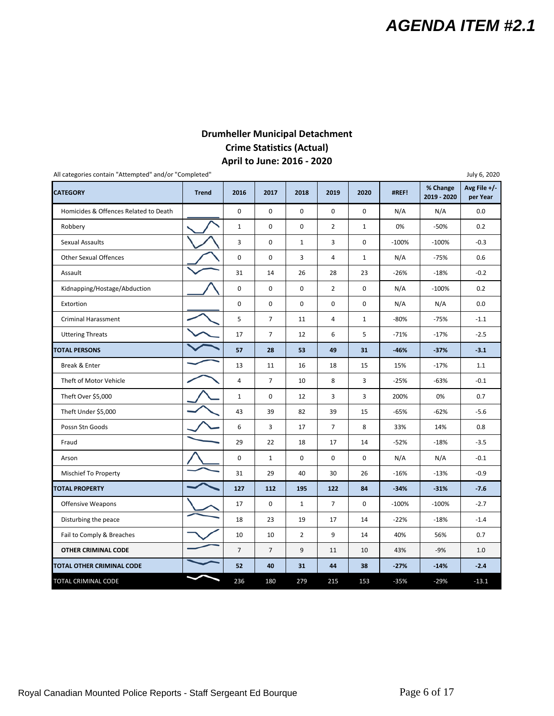#### **Drumheller Municipal Detachment Crime Statistics (Actual) April to June: 2016 ‐ 2020**

| All categories contain "Attempted" and/or "Completed" |              |                |                |                |                |              |         |                         | July 6, 2020               |
|-------------------------------------------------------|--------------|----------------|----------------|----------------|----------------|--------------|---------|-------------------------|----------------------------|
| <b>CATEGORY</b>                                       | <b>Trend</b> | 2016           | 2017           | 2018           | 2019           | 2020         | #REF!   | % Change<br>2019 - 2020 | Avg File $+/-$<br>per Year |
| Homicides & Offences Related to Death                 |              | 0              | 0              | $\mathbf 0$    | $\mathbf 0$    | 0            | N/A     | N/A                     | 0.0                        |
| Robbery                                               |              | $\mathbf{1}$   | $\mathsf 0$    | $\pmb{0}$      | $\overline{2}$ | $\mathbf{1}$ | 0%      | $-50%$                  | 0.2                        |
| Sexual Assaults                                       |              | 3              | 0              | $\mathbf{1}$   | 3              | 0            | $-100%$ | $-100%$                 | $-0.3$                     |
| <b>Other Sexual Offences</b>                          |              | 0              | $\mathbf 0$    | 3              | 4              | $\mathbf{1}$ | N/A     | $-75%$                  | 0.6                        |
| Assault                                               |              | 31             | 14             | 26             | 28             | 23           | $-26%$  | $-18%$                  | $-0.2$                     |
| Kidnapping/Hostage/Abduction                          |              | 0              | $\mathbf 0$    | $\mathsf 0$    | $\overline{2}$ | 0            | N/A     | $-100%$                 | 0.2                        |
| Extortion                                             |              | 0              | 0              | $\mathbf 0$    | 0              | 0            | N/A     | N/A                     | 0.0                        |
| <b>Criminal Harassment</b>                            |              | 5              | $\overline{7}$ | 11             | $\overline{4}$ | $\mathbf{1}$ | $-80%$  | $-75%$                  | $-1.1$                     |
| <b>Uttering Threats</b>                               |              | 17             | $\overline{7}$ | 12             | 6              | 5            | $-71%$  | $-17%$                  | $-2.5$                     |
| <b>TOTAL PERSONS</b>                                  |              | 57             | 28             | 53             | 49             | 31           | $-46%$  | $-37%$                  | $-3.1$                     |
| Break & Enter                                         |              | 13             | 11             | 16             | 18             | 15           | 15%     | $-17%$                  | 1.1                        |
| Theft of Motor Vehicle                                |              | $\overline{4}$ | $\overline{7}$ | 10             | 8              | 3            | $-25%$  | $-63%$                  | $-0.1$                     |
| Theft Over \$5,000                                    |              | $\mathbf{1}$   | $\mathbf 0$    | 12             | 3              | 3            | 200%    | 0%                      | 0.7                        |
| Theft Under \$5,000                                   |              | 43             | 39             | 82             | 39             | 15           | -65%    | $-62%$                  | $-5.6$                     |
| Possn Stn Goods                                       |              | 6              | 3              | 17             | $\overline{7}$ | 8            | 33%     | 14%                     | 0.8                        |
| Fraud                                                 |              | 29             | 22             | 18             | 17             | 14           | $-52%$  | $-18%$                  | $-3.5$                     |
| Arson                                                 |              | 0              | $\mathbf{1}$   | 0              | 0              | 0            | N/A     | N/A                     | $-0.1$                     |
| Mischief To Property                                  |              | 31             | 29             | 40             | 30             | 26           | $-16%$  | $-13%$                  | $-0.9$                     |
| <b>TOTAL PROPERTY</b>                                 |              | 127            | 112            | 195            | 122            | 84           | $-34%$  | $-31%$                  | $-7.6$                     |
| <b>Offensive Weapons</b>                              |              | 17             | $\pmb{0}$      | $\mathbf{1}$   | $\overline{7}$ | 0            | $-100%$ | $-100%$                 | $-2.7$                     |
| Disturbing the peace                                  |              | 18             | 23             | 19             | 17             | 14           | $-22%$  | $-18%$                  | $-1.4$                     |
| Fail to Comply & Breaches                             |              | 10             | 10             | $\overline{2}$ | 9              | 14           | 40%     | 56%                     | 0.7                        |
| <b>OTHER CRIMINAL CODE</b>                            |              | $\overline{7}$ | $\overline{7}$ | 9              | 11             | 10           | 43%     | $-9%$                   | 1.0                        |
| TOTAL OTHER CRIMINAL CODE                             |              | 52             | 40             | 31             | 44             | 38           | $-27%$  | $-14%$                  | $-2.4$                     |
| TOTAL CRIMINAL CODE                                   |              | 236            | 180            | 279            | 215            | 153          | $-35%$  | $-29%$                  | $-13.1$                    |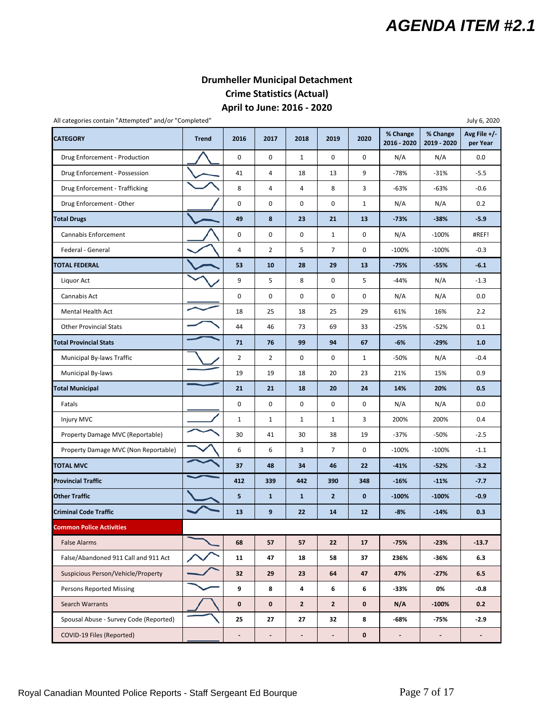#### **Drumheller Municipal Detachment Crime Statistics (Actual) April to June: 2016 ‐ 2020**

All categories contain "Attempted" and/or "Completed" July 6, 2020

**CATEGORY Trend 2016 2017 2018 2019 2020 % Change 2016 ‐ 2020 % Change 2019 ‐ 2020 Avg File +/‐ per Year** Drug Enforcement - Production  $\bigcup$  | 0 | 0 | 1 | 0 | 0 | N/A | N/A | 0.0 Drug Enforcement - Possession ● ● ● ● → 14 4 | 18 | 13 | 9 | → 78% | → 31% | → 5.5 Drug Enforcement ‐ Trafficking 8 4 4 8 3 ‐63% ‐63% ‐0.6 Drug Enforcement ‐ Other 0 0 0 0 1 N/A N/A 0.2 **Total Drugs 49 | 8 | 23 | 21 | 13 | -73% | -38% | -5.9**  Cannabis Enforcement 0 0 0 1 0 N/A ‐100% #REF! Federal General **1990 100% 100% 100% 100% 100% 100% 100% 100% 100% 100% 100% 100% 100% 100% 100% 100% 100% 100% 100% 100% 100% 100% 100% 100% 100% 100% 100% 100% 10 TOTAL FEDERAL 53 10 28 29 13 ‐75% ‐55% ‐6.1** Liquor Act 9 5 8 0 5 ‐44% N/A ‐1.3 Cannabis Act 0 0 0 0 0 N/A N/A 0.0 Mental Health Act 2.2 Other Provincial Stats **1980 Compare 10 12 Compare 144** 46 73 69 33 -25% <sup>-25%</sup> -52% 0.1 **Total Provincial Stats 71 | 76 | 99 | 94 | 67 | -6% | -29% | 1.0** Municipal By‐laws Traffic | | | 2 | 2 | 0 | 0 | 1 | -50% | N/A | -0.4 Municipal By‐laws 19 19 19 19 18 20 23 21% 15% 0.9 **Total Municipal 21 21 18 20 24 14% 20% 0.5** Fatals 0 0 0 0 0 N/A N/A 0.0 Injury MVC 200% | 200% | 200% | 200% | 200% | 200% | 200% | 200% | 200% | 200% | 200% | 200% | 200% | 200% | 2 Property Damage MVC (Reportable) 30 41 30 38 19 -37% -50% -2.5 Property Damage MVC (Non Reportable) **1200 6 6 6 7 8** 0 7 0 100% <sup>1</sup> 100 100 100 111 TOTAL MVC 37 | 48 | 34 | 46 | 22 | -41% | -52% | -3.2 Provincial Traffic 412 339 442 390 348 -16% -11% *-1.*7.7 Other Traffic **CONFIGURE 1 1 CONFIDENT** 1 2 0 **100%** 100% <sup>1</sup> -0.9 Criminal Code Traffic **13 2 2 2 3 14 12 12 - 8%** 14 - 14% 10.3 **Common Police Activities** False Alarms **68 12.13.7 68 12.14 False Alarms 68 12.14 False Alarms 68 12.14 False Alarms 68 12.14 False Alarms** False/Abandoned 911 Call and 911 Act **19 10 10 10 11 11 12 147 12** 18 12 37 1236% <sup>1</sup> 36% <sup>1</sup> 6.3 Suspicious Person/Vehicle/Property **32** 32 29 23 64 47 47% -27% 6.5 Persons Reported Missing **19 8 | 8 | 8 | 8 | 6 | 6 | -33% | 0% | -0.8** Search Warrants **1 / 1 0 0 2 2 0 N/A 1** -100% 0.2 Spousal Abuse - Survey Code (Reported) **25 25 27 27 32 8 -68% -75% -75%** COVID‐19 Files (Reported) **‐ ‐ ‐ ‐0 ‐ ‐ ‐**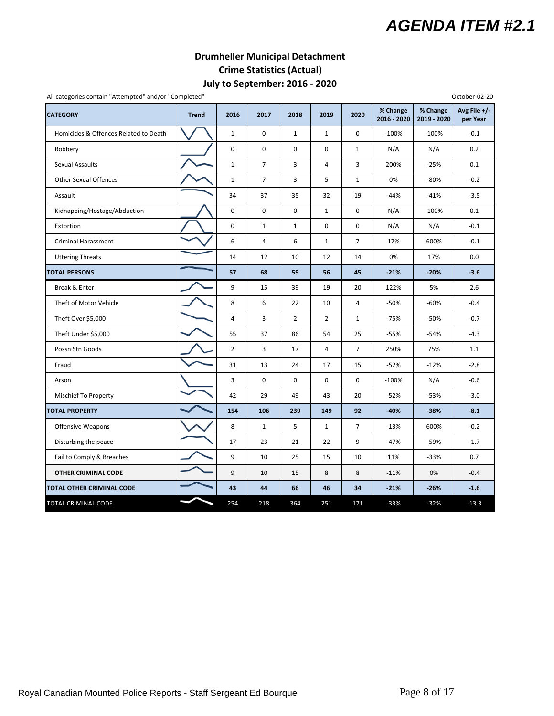#### **Drumheller Municipal Detachment Crime Statistics (Actual) July to September: 2016 ‐ 2020**

| All categories contain "Attempted" and/or "Completed" |              |                |                |                |                |                |                         |                         | October-02-20              |
|-------------------------------------------------------|--------------|----------------|----------------|----------------|----------------|----------------|-------------------------|-------------------------|----------------------------|
| <b>CATEGORY</b>                                       | <b>Trend</b> | 2016           | 2017           | 2018           | 2019           | 2020           | % Change<br>2016 - 2020 | % Change<br>2019 - 2020 | Avg File $+/-$<br>per Year |
| Homicides & Offences Related to Death                 |              | $1\,$          | $\mathbf 0$    | $\mathbf{1}$   | $1\,$          | 0              | $-100%$                 | $-100%$                 | $-0.1$                     |
| Robbery                                               |              | 0              | $\mathbf 0$    | $\mathbf 0$    | $\mathbf 0$    | $\mathbf{1}$   | N/A                     | N/A                     | 0.2                        |
| <b>Sexual Assaults</b>                                |              | $\mathbf{1}$   | $\overline{7}$ | 3              | $\overline{4}$ | 3              | 200%                    | $-25%$                  | 0.1                        |
| <b>Other Sexual Offences</b>                          |              | $\mathbf{1}$   | $\overline{7}$ | 3              | 5              | $\mathbf{1}$   | 0%                      | $-80%$                  | $-0.2$                     |
| Assault                                               |              | 34             | 37             | 35             | 32             | 19             | -44%                    | $-41%$                  | $-3.5$                     |
| Kidnapping/Hostage/Abduction                          |              | $\pmb{0}$      | $\mathbf 0$    | $\pmb{0}$      | $\mathbf{1}$   | 0              | N/A                     | $-100%$                 | 0.1                        |
| Extortion                                             |              | $\pmb{0}$      | $\mathbf{1}$   | $\mathbf 1$    | $\mathbf 0$    | $\mathbf 0$    | N/A                     | N/A                     | $-0.1$                     |
| <b>Criminal Harassment</b>                            |              | 6              | 4              | 6              | $\mathbf{1}$   | $\overline{7}$ | 17%                     | 600%                    | $-0.1$                     |
| <b>Uttering Threats</b>                               |              | 14             | 12             | 10             | 12             | 14             | 0%                      | 17%                     | 0.0                        |
| <b>TOTAL PERSONS</b>                                  |              | 57             | 68             | 59             | 56             | 45             | $-21%$                  | $-20%$                  | $-3.6$                     |
| Break & Enter                                         |              | 9              | 15             | 39             | 19             | 20             | 122%                    | 5%                      | 2.6                        |
| Theft of Motor Vehicle                                |              | 8              | 6              | 22             | 10             | 4              | -50%                    | $-60%$                  | $-0.4$                     |
| Theft Over \$5,000                                    |              | 4              | 3              | $\overline{2}$ | $\overline{2}$ | $\mathbf{1}$   | $-75%$                  | $-50%$                  | $-0.7$                     |
| Theft Under \$5,000                                   |              | 55             | 37             | 86             | 54             | 25             | -55%                    | $-54%$                  | $-4.3$                     |
| Possn Stn Goods                                       |              | $\overline{2}$ | 3              | 17             | $\overline{4}$ | $\overline{7}$ | 250%                    | 75%                     | 1.1                        |
| Fraud                                                 |              | 31             | 13             | 24             | 17             | 15             | $-52%$                  | $-12%$                  | $-2.8$                     |
| Arson                                                 |              | 3              | $\mathbf 0$    | $\pmb{0}$      | 0              | $\mathbf 0$    | $-100%$                 | N/A                     | $-0.6$                     |
| Mischief To Property                                  |              | 42             | 29             | 49             | 43             | 20             | $-52%$                  | $-53%$                  | $-3.0$                     |
| <b>TOTAL PROPERTY</b>                                 |              | 154            | 106            | 239            | 149            | 92             | $-40%$                  | $-38%$                  | $-8.1$                     |
| <b>Offensive Weapons</b>                              |              | 8              | $\mathbf{1}$   | 5              | $\mathbf{1}$   | $\overline{7}$ | $-13%$                  | 600%                    | $-0.2$                     |
| Disturbing the peace                                  |              | 17             | 23             | 21             | 22             | 9              | $-47%$                  | -59%                    | $-1.7$                     |
| Fail to Comply & Breaches                             |              | 9              | 10             | 25             | 15             | 10             | 11%                     | $-33%$                  | 0.7                        |
| <b>OTHER CRIMINAL CODE</b>                            |              | 9              | 10             | 15             | 8              | 8              | $-11%$                  | 0%                      | $-0.4$                     |
| TOTAL OTHER CRIMINAL CODE                             |              | 43             | 44             | 66             | 46             | 34             | $-21%$                  | $-26%$                  | $-1.6$                     |
| TOTAL CRIMINAL CODE                                   |              | 254            | 218            | 364            | 251            | 171            | $-33%$                  | $-32%$                  | $-13.3$                    |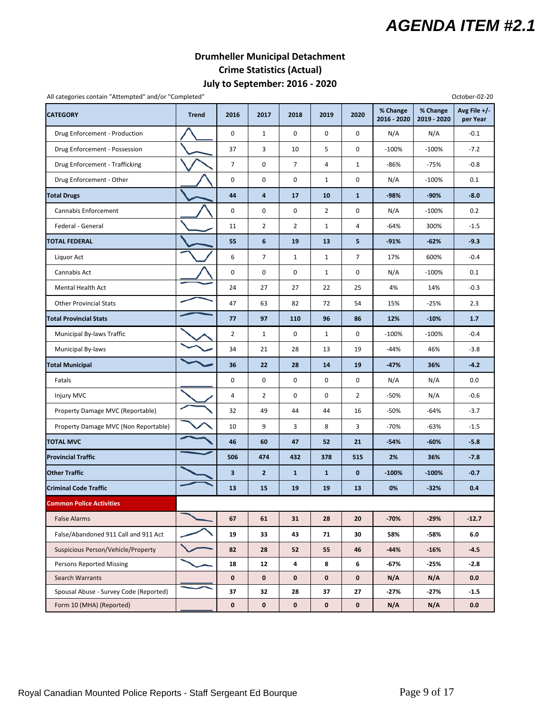#### **Drumheller Municipal Detachment Crime Statistics (Actual) July to September: 2016 ‐ 2020**

| All categories contain "Attempted" and/or "Completed" |              |                |                 |                |                |                |                         |                         | October-02-20            |
|-------------------------------------------------------|--------------|----------------|-----------------|----------------|----------------|----------------|-------------------------|-------------------------|--------------------------|
| <b>CATEGORY</b>                                       | <b>Trend</b> | 2016           | 2017            | 2018           | 2019           | 2020           | % Change<br>2016 - 2020 | % Change<br>2019 - 2020 | Avg File +/-<br>per Year |
| Drug Enforcement - Production                         |              | $\mathbf 0$    | $\mathbf{1}$    | $\mathbf 0$    | 0              | $\mathbf 0$    | N/A                     | N/A                     | $-0.1$                   |
| Drug Enforcement - Possession                         |              | 37             | 3               | 10             | 5              | 0              | $-100%$                 | $-100%$                 | $-7.2$                   |
| Drug Enforcement - Trafficking                        |              | $\overline{7}$ | $\mathbf 0$     | 7              | 4              | $\mathbf{1}$   | -86%                    | $-75%$                  | $-0.8$                   |
| Drug Enforcement - Other                              |              | $\pmb{0}$      | $\pmb{0}$       | 0              | $\mathbf{1}$   | 0              | N/A                     | $-100%$                 | 0.1                      |
| <b>Total Drugs</b>                                    |              | 44             | 4               | 17             | 10             | $\mathbf{1}$   | -98%                    | $-90%$                  | $-8.0$                   |
| Cannabis Enforcement                                  |              | 0              | $\mathbf 0$     | $\mathbf 0$    | $\overline{2}$ | 0              | N/A                     | $-100%$                 | 0.2                      |
| Federal - General                                     |              | 11             | $\overline{2}$  | $\overline{2}$ | $\mathbf{1}$   | 4              | -64%                    | 300%                    | $-1.5$                   |
| <b>TOTAL FEDERAL</b>                                  |              | 55             | $6\phantom{1}6$ | 19             | 13             | 5              | $-91%$                  | $-62%$                  | $-9.3$                   |
| Liquor Act                                            |              | 6              | $\overline{7}$  | $\mathbf{1}$   | $\mathbf{1}$   | $\overline{7}$ | 17%                     | 600%                    | $-0.4$                   |
| Cannabis Act                                          |              | $\mathbf 0$    | $\pmb{0}$       | 0              | $\mathbf{1}$   | 0              | N/A                     | $-100%$                 | 0.1                      |
| Mental Health Act                                     |              | 24             | 27              | 27             | 22             | 25             | 4%                      | 14%                     | $-0.3$                   |
| <b>Other Provincial Stats</b>                         |              | 47             | 63              | 82             | 72             | 54             | 15%                     | $-25%$                  | 2.3                      |
| <b>Total Provincial Stats</b>                         |              | 77             | 97              | 110            | 96             | 86             | 12%                     | $-10%$                  | 1.7                      |
| Municipal By-laws Traffic                             |              | $\overline{2}$ | $\mathbf{1}$    | 0              | $\mathbf{1}$   | 0              | $-100%$                 | $-100%$                 | $-0.4$                   |
| Municipal By-laws                                     |              | 34             | 21              | 28             | 13             | 19             | $-44%$                  | 46%                     | $-3.8$                   |
| <b>Total Municipal</b>                                |              | 36             | 22              | 28             | 14             | 19             | -47%                    | 36%                     | $-4.2$                   |
| Fatals                                                |              | 0              | $\mathbf 0$     | 0              | 0              | 0              | N/A                     | N/A                     | 0.0                      |
| Injury MVC                                            |              | 4              | $\overline{2}$  | $\mathbf 0$    | $\mathbf 0$    | $\overline{2}$ | -50%                    | N/A                     | $-0.6$                   |
| Property Damage MVC (Reportable)                      |              | 32             | 49              | 44             | 44             | 16             | -50%                    | $-64%$                  | $-3.7$                   |
| Property Damage MVC (Non Reportable)                  |              | 10             | 9               | 3              | 8              | 3              | $-70%$                  | $-63%$                  | $-1.5$                   |
| <b>TOTAL MVC</b>                                      |              | 46             | 60              | 47             | 52             | 21             | $-54%$                  | $-60%$                  | $-5.8$                   |
| <b>Provincial Traffic</b>                             |              | 506            | 474             | 432            | 378            | 515            | 2%                      | 36%                     | $-7.8$                   |
| <b>Other Traffic</b>                                  |              | 3              | $\mathbf{2}$    | $\mathbf{1}$   | $\mathbf{1}$   | $\bf{0}$       | $-100%$                 | $-100%$                 | $-0.7$                   |
| <b>Criminal Code Traffic</b>                          |              | 13             | 15              | 19             | 19             | 13             | 0%                      | $-32%$                  | 0.4                      |
| <b>Common Police Activities</b>                       |              |                |                 |                |                |                |                         |                         |                          |
| <b>False Alarms</b>                                   |              | 67             | 61              | 31             | 28             | 20             | $-70%$                  | $-29%$                  | $-12.7$                  |
| False/Abandoned 911 Call and 911 Act                  |              | 19             | 33              | 43             | 71             | 30             | 58%                     | -58%                    | 6.0                      |
| Suspicious Person/Vehicle/Property                    |              | 82             | 28              | 52             | 55             | 46             | $-44%$                  | $-16%$                  | $-4.5$                   |
| Persons Reported Missing                              |              | 18             | 12              | 4              | 8              | 6              | -67%                    | -25%                    | $-2.8$                   |
| Search Warrants                                       |              | $\mathbf 0$    | $\mathbf 0$     | 0              | $\mathbf 0$    | $\mathbf 0$    | N/A                     | N/A                     | 0.0                      |
| Spousal Abuse - Survey Code (Reported)                |              | 37             | 32              | 28             | 37             | 27             | -27%                    | -27%                    | $-1.5$                   |
| Form 10 (MHA) (Reported)                              |              | $\mathbf 0$    | $\mathbf 0$     | $\mathbf 0$    | $\mathbf 0$    | $\mathbf 0$    | N/A                     | N/A                     | 0.0                      |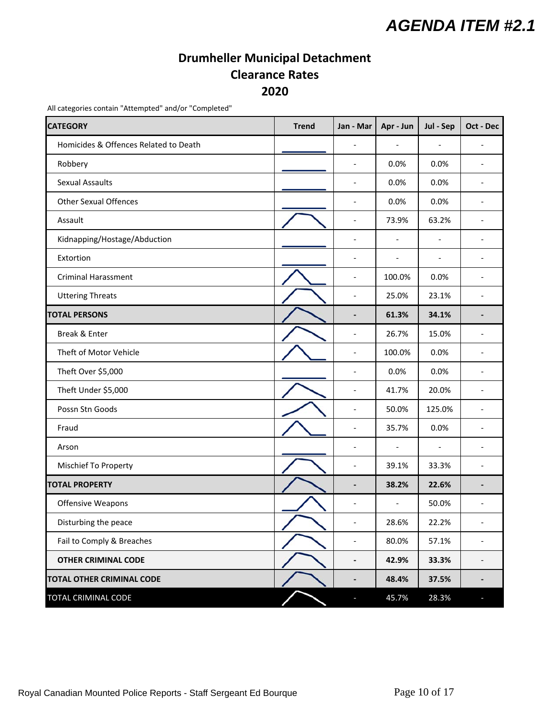### **Drumheller Municipal Detachment Clearance Rates 2020**

<span id="page-9-0"></span>All categories contain "Attempted" and/or "Completed"

| <b>CATEGORY</b>                       | <b>Trend</b> | Jan - Mar                | Apr - Jun                | Jul - Sep                | Oct - Dec                |
|---------------------------------------|--------------|--------------------------|--------------------------|--------------------------|--------------------------|
| Homicides & Offences Related to Death |              |                          | $\overline{a}$           | $\overline{\phantom{a}}$ |                          |
| Robbery                               |              | $\overline{\phantom{a}}$ | 0.0%                     | 0.0%                     |                          |
| <b>Sexual Assaults</b>                |              | $\overline{\phantom{a}}$ | 0.0%                     | 0.0%                     | $\overline{a}$           |
| <b>Other Sexual Offences</b>          |              | $\overline{\phantom{a}}$ | 0.0%                     | 0.0%                     |                          |
| Assault                               |              | $\overline{\phantom{a}}$ | 73.9%                    | 63.2%                    |                          |
| Kidnapping/Hostage/Abduction          |              | $\overline{\phantom{a}}$ | $\overline{\phantom{a}}$ | $\overline{\phantom{a}}$ |                          |
| Extortion                             |              | $\overline{\phantom{a}}$ | $\overline{a}$           | $\overline{\phantom{a}}$ | $\overline{\phantom{a}}$ |
| <b>Criminal Harassment</b>            |              | $\overline{\phantom{a}}$ | 100.0%                   | 0.0%                     |                          |
| <b>Uttering Threats</b>               |              | $\overline{\phantom{a}}$ | 25.0%                    | 23.1%                    |                          |
| <b>TOTAL PERSONS</b>                  |              | $\overline{\phantom{a}}$ | 61.3%                    | 34.1%                    |                          |
| Break & Enter                         |              | $\overline{\phantom{a}}$ | 26.7%                    | 15.0%                    | $\overline{\phantom{a}}$ |
| Theft of Motor Vehicle                |              | $\overline{\phantom{a}}$ | 100.0%                   | 0.0%                     |                          |
| Theft Over \$5,000                    |              | $\overline{\phantom{a}}$ | 0.0%                     | 0.0%                     |                          |
| Theft Under \$5,000                   |              | $\overline{\phantom{a}}$ | 41.7%                    | 20.0%                    |                          |
| Possn Stn Goods                       |              | $\overline{\phantom{a}}$ | 50.0%                    | 125.0%                   | $\overline{\phantom{a}}$ |
| Fraud                                 |              | $\overline{\phantom{a}}$ | 35.7%                    | 0.0%                     |                          |
| Arson                                 |              | $\overline{\phantom{a}}$ | $\overline{a}$           | $\overline{\phantom{a}}$ |                          |
| Mischief To Property                  |              | $\overline{\phantom{a}}$ | 39.1%                    | 33.3%                    |                          |
| <b>TOTAL PROPERTY</b>                 |              | $\overline{\phantom{a}}$ | 38.2%                    | 22.6%                    |                          |
| Offensive Weapons                     |              | $\overline{\phantom{a}}$ | $\overline{\phantom{a}}$ | 50.0%                    |                          |
| Disturbing the peace                  |              | $\overline{\phantom{a}}$ | 28.6%                    | 22.2%                    | $\overline{\phantom{a}}$ |
| Fail to Comply & Breaches             |              | $\overline{\phantom{a}}$ | 80.0%                    | 57.1%                    |                          |
| <b>OTHER CRIMINAL CODE</b>            |              | $\overline{\phantom{a}}$ | 42.9%                    | 33.3%                    |                          |
| <b>TOTAL OTHER CRIMINAL CODE</b>      |              | $\overline{\phantom{a}}$ | 48.4%                    | 37.5%                    | $\blacksquare$           |
| TOTAL CRIMINAL CODE                   |              |                          | 45.7%                    | 28.3%                    |                          |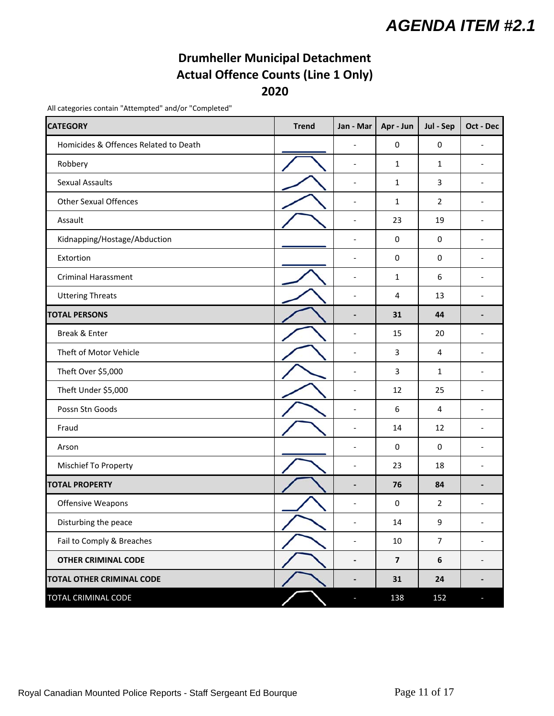### **Drumheller Municipal Detachment Actual Offence Counts (Line 1 Only) 2020**

All categories contain "Attempted" and/or "Completed"

| <b>CATEGORY</b>                       | <b>Trend</b> | Jan - Mar                    | Apr - Jun               | Jul - Sep        | Oct - Dec                |
|---------------------------------------|--------------|------------------------------|-------------------------|------------------|--------------------------|
| Homicides & Offences Related to Death |              | $\overline{a}$               | $\pmb{0}$               | 0                | $\overline{a}$           |
| Robbery                               |              | $\qquad \qquad \blacksquare$ | 1                       | 1                | $\overline{\phantom{a}}$ |
| <b>Sexual Assaults</b>                |              | $\overline{\phantom{0}}$     | 1                       | 3                | $\overline{\phantom{a}}$ |
| <b>Other Sexual Offences</b>          |              | $\overline{\phantom{a}}$     | 1                       | $\overline{2}$   |                          |
| Assault                               |              | $\qquad \qquad \blacksquare$ | 23                      | 19               |                          |
| Kidnapping/Hostage/Abduction          |              | $\overline{\phantom{a}}$     | 0                       | $\mathbf 0$      | $\overline{a}$           |
| Extortion                             |              | $\overline{a}$               | 0                       | $\mathbf 0$      | $\overline{a}$           |
| <b>Criminal Harassment</b>            |              | $\overline{a}$               | 1                       | $\boldsymbol{6}$ | $\overline{a}$           |
| <b>Uttering Threats</b>               |              | $\overline{a}$               | 4                       | 13               |                          |
| <b>TOTAL PERSONS</b>                  |              |                              | 31                      | 44               |                          |
| Break & Enter                         |              | $\overline{a}$               | 15                      | 20               | $\overline{\phantom{a}}$ |
| Theft of Motor Vehicle                |              | $\overline{\phantom{a}}$     | 3                       | $\overline{4}$   | $\overline{a}$           |
| Theft Over \$5,000                    |              | $\overline{\phantom{a}}$     | 3                       | 1                |                          |
| Theft Under \$5,000                   |              | $\overline{\phantom{a}}$     | 12                      | 25               |                          |
| Possn Stn Goods                       |              | $\overline{\phantom{a}}$     | 6                       | 4                |                          |
| Fraud                                 |              | $\overline{\phantom{0}}$     | 14                      | 12               |                          |
| Arson                                 |              |                              | 0                       | $\mathbf 0$      |                          |
| Mischief To Property                  |              | $\overline{\phantom{a}}$     | 23                      | 18               |                          |
| <b>TOTAL PROPERTY</b>                 |              |                              | 76                      | 84               |                          |
| Offensive Weapons                     |              | $\overline{a}$               | 0                       | $\overline{2}$   |                          |
| Disturbing the peace                  |              | $\overline{\phantom{a}}$     | 14                      | 9                | $\overline{\phantom{a}}$ |
| Fail to Comply & Breaches             |              | $\overline{\phantom{a}}$     | $10\,$                  | $\overline{7}$   | $\overline{\phantom{0}}$ |
| <b>OTHER CRIMINAL CODE</b>            |              | $\qquad \qquad \blacksquare$ | $\overline{\mathbf{z}}$ | $\boldsymbol{6}$ | $\overline{\phantom{a}}$ |
| <b>TOTAL OTHER CRIMINAL CODE</b>      |              | $\overline{\phantom{0}}$     | 31                      | 24               | $\overline{\phantom{a}}$ |
| <b>TOTAL CRIMINAL CODE</b>            |              | Ξ                            | 138                     | 152              | J,                       |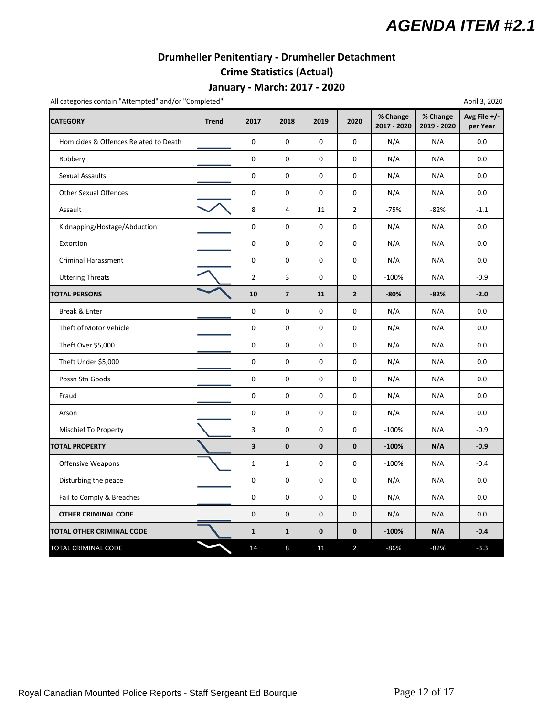### **Drumheller Penitentiary ‐ Drumheller Detachment**

## **Crime Statistics (Actual)**

#### **January ‐ March: 2017 ‐ 2020**

<span id="page-11-0"></span>All categories contain "Attempted" and/or "Completed" April 3, 2020

| <b>CATEGORY</b>                       | <b>Trend</b> | 2017           | 2018                    | 2019         | 2020           | % Change<br>2017 - 2020 | % Change<br>2019 - 2020 | Avg File $+/-$<br>per Year |
|---------------------------------------|--------------|----------------|-------------------------|--------------|----------------|-------------------------|-------------------------|----------------------------|
| Homicides & Offences Related to Death |              | $\mathbf 0$    | 0                       | 0            | 0              | N/A                     | N/A                     | 0.0                        |
| Robbery                               |              | $\mathbf 0$    | 0                       | $\mathbf 0$  | 0              | N/A                     | N/A                     | 0.0                        |
| <b>Sexual Assaults</b>                |              | $\pmb{0}$      | 0                       | $\pmb{0}$    | 0              | N/A                     | N/A                     | 0.0                        |
| <b>Other Sexual Offences</b>          |              | $\pmb{0}$      | 0                       | 0            | 0              | N/A                     | N/A                     | 0.0                        |
| Assault                               |              | 8              | 4                       | 11           | $\overline{2}$ | $-75%$                  | $-82%$                  | $-1.1$                     |
| Kidnapping/Hostage/Abduction          |              | $\pmb{0}$      | 0                       | 0            | 0              | N/A                     | N/A                     | 0.0                        |
| Extortion                             |              | $\mathbf 0$    | 0                       | 0            | 0              | N/A                     | N/A                     | 0.0                        |
| <b>Criminal Harassment</b>            |              | $\mathbf 0$    | 0                       | 0            | 0              | N/A                     | N/A                     | 0.0                        |
| <b>Uttering Threats</b>               |              | $\overline{2}$ | 3                       | 0            | 0              | $-100%$                 | N/A                     | $-0.9$                     |
| <b>TOTAL PERSONS</b>                  |              | 10             | $\overline{\mathbf{z}}$ | 11           | $\mathbf{2}$   | $-80%$                  | $-82%$                  | $-2.0$                     |
| Break & Enter                         |              | $\mathsf 0$    | 0                       | 0            | 0              | N/A                     | N/A                     | 0.0                        |
| Theft of Motor Vehicle                |              | 0              | 0                       | 0            | 0              | N/A                     | N/A                     | 0.0                        |
| Theft Over \$5,000                    |              | $\mathbf 0$    | 0                       | 0            | 0              | N/A                     | N/A                     | 0.0                        |
| Theft Under \$5,000                   |              | $\pmb{0}$      | 0                       | 0            | 0              | N/A                     | N/A                     | 0.0                        |
| Possn Stn Goods                       |              | $\mathbf 0$    | 0                       | 0            | 0              | N/A                     | N/A                     | 0.0                        |
| Fraud                                 |              | $\mathbf 0$    | 0                       | 0            | 0              | N/A                     | N/A                     | 0.0                        |
| Arson                                 |              | 0              | 0                       | 0            | 0              | N/A                     | N/A                     | 0.0                        |
| Mischief To Property                  |              | 3              | 0                       | 0            | 0              | $-100%$                 | N/A                     | $-0.9$                     |
| <b>TOTAL PROPERTY</b>                 |              | 3              | $\pmb{0}$               | $\mathbf{0}$ | $\mathbf 0$    | $-100%$                 | N/A                     | $-0.9$                     |
| <b>Offensive Weapons</b>              |              | $\mathbf{1}$   | $\mathbf{1}$            | 0            | 0              | $-100%$                 | N/A                     | $-0.4$                     |
| Disturbing the peace                  |              | $\mathsf 0$    | 0                       | 0            | 0              | N/A                     | N/A                     | 0.0                        |
| Fail to Comply & Breaches             |              | $\pmb{0}$      | 0                       | 0            | 0              | N/A                     | N/A                     | 0.0                        |
| <b>OTHER CRIMINAL CODE</b>            |              | $\mathsf 0$    | 0                       | 0            | 0              | N/A                     | N/A                     | 0.0                        |
| TOTAL OTHER CRIMINAL CODE             |              | $\mathbf{1}$   | $\mathbf{1}$            | $\pmb{0}$    | $\pmb{0}$      | $-100%$                 | N/A                     | $-0.4$                     |
| TOTAL CRIMINAL CODE                   |              | 14             | 8                       | 11           | $\overline{2}$ | $-86%$                  | $-82%$                  | $-3.3$                     |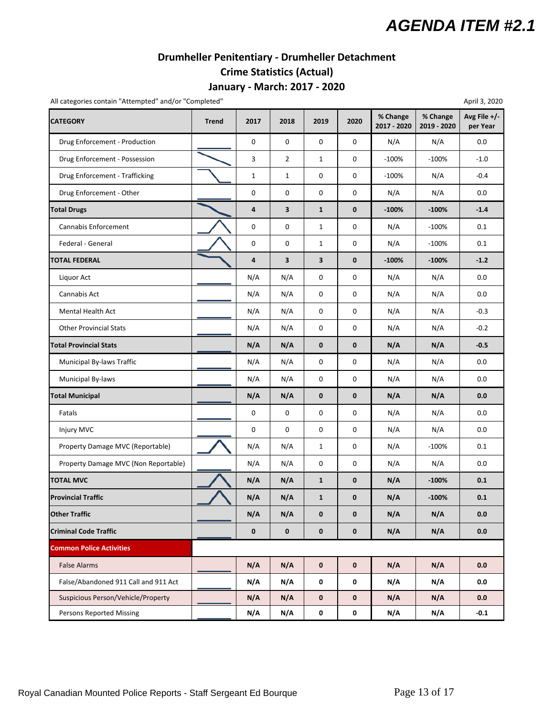### **Drumheller Penitentiary ‐ Drumheller Detachment**

### **Crime Statistics (Actual)**

#### **January ‐ March: 2017 ‐ 2020**

All categories contain "Attempted" and/or "Completed" April 3, 2020

| All categories contain Attempted and/or Completed |              |              |                |              |             |                         |                         | Aprii 3, 2020            |
|---------------------------------------------------|--------------|--------------|----------------|--------------|-------------|-------------------------|-------------------------|--------------------------|
| <b>CATEGORY</b>                                   | <b>Trend</b> | 2017         | 2018           | 2019         | 2020        | % Change<br>2017 - 2020 | % Change<br>2019 - 2020 | Avg File +/-<br>per Year |
| Drug Enforcement - Production                     |              | 0            | 0              | 0            | 0           | N/A                     | N/A                     | 0.0                      |
| Drug Enforcement - Possession                     |              | 3            | $\overline{2}$ | $\mathbf{1}$ | 0           | $-100%$                 | $-100%$                 | $-1.0$                   |
| Drug Enforcement - Trafficking                    |              | $\mathbf{1}$ | $\mathbf{1}$   | 0            | 0           | $-100%$                 | N/A                     | $-0.4$                   |
| Drug Enforcement - Other                          |              | 0            | 0              | $\mathsf 0$  | 0           | N/A                     | N/A                     | $0.0\,$                  |
| <b>Total Drugs</b>                                |              | 4            | 3              | $\mathbf{1}$ | $\mathbf 0$ | $-100%$                 | $-100%$                 | $-1.4$                   |
| Cannabis Enforcement                              |              | 0            | 0              | $\mathbf{1}$ | 0           | N/A                     | $-100%$                 | 0.1                      |
| Federal - General                                 |              | 0            | 0              | $\mathbf{1}$ | 0           | N/A                     | $-100%$                 | 0.1                      |
| TOTAL FEDERAL                                     |              | 4            | 3              | 3            | $\pmb{0}$   | $-100%$                 | $-100%$                 | $-1.2$                   |
| Liquor Act                                        |              | N/A          | N/A            | 0            | 0           | N/A                     | N/A                     | 0.0                      |
| Cannabis Act                                      |              | N/A          | N/A            | $\mathsf 0$  | 0           | N/A                     | N/A                     | 0.0                      |
| <b>Mental Health Act</b>                          |              | N/A          | N/A            | 0            | 0           | N/A                     | N/A                     | $-0.3$                   |
| <b>Other Provincial Stats</b>                     |              | N/A          | N/A            | $\pmb{0}$    | 0           | N/A                     | N/A                     | $-0.2$                   |
| <b>Total Provincial Stats</b>                     |              | N/A          | N/A            | $\bf{0}$     | $\mathbf 0$ | N/A                     | N/A                     | $-0.5$                   |
| Municipal By-laws Traffic                         |              | N/A          | N/A            | $\mathsf 0$  | 0           | N/A                     | N/A                     | $0.0\,$                  |
| Municipal By-laws                                 |              | N/A          | N/A            | $\mathsf 0$  | 0           | N/A                     | N/A                     | 0.0                      |
| <b>Total Municipal</b>                            |              | N/A          | N/A            | $\bf{0}$     | 0           | N/A                     | N/A                     | 0.0                      |
| Fatals                                            |              | 0            | 0              | 0            | 0           | N/A                     | N/A                     | 0.0                      |
| Injury MVC                                        |              | 0            | 0              | 0            | 0           | N/A                     | N/A                     | 0.0                      |
| Property Damage MVC (Reportable)                  |              | N/A          | N/A            | $\mathbf{1}$ | 0           | N/A                     | $-100%$                 | 0.1                      |
| Property Damage MVC (Non Reportable)              |              | N/A          | N/A            | 0            | 0           | N/A                     | N/A                     | 0.0                      |
| <b>TOTAL MVC</b>                                  |              | N/A          | N/A            | $\mathbf{1}$ | $\pmb{0}$   | N/A                     | $-100%$                 | 0.1                      |
| <b>Provincial Traffic</b>                         |              | N/A          | N/A            | $\mathbf{1}$ | 0           | N/A                     | $-100%$                 | 0.1                      |
| <b>Other Traffic</b>                              |              | N/A          | N/A            | 0            | 0           | N/A                     | N/A                     | 0.0                      |
| <b>Criminal Code Traffic</b>                      |              | 0            | 0              | 0            | 0           | N/A                     | N/A                     | 0.0                      |
| <b>Common Police Activities</b>                   |              |              |                |              |             |                         |                         |                          |
| <b>False Alarms</b>                               |              | N/A          | N/A            | $\bf{0}$     | 0           | N/A                     | N/A                     | 0.0                      |
| False/Abandoned 911 Call and 911 Act              |              | N/A          | N/A            | $\pmb{0}$    | 0           | N/A                     | N/A                     | 0.0                      |
| Suspicious Person/Vehicle/Property                |              | N/A          | N/A            | 0            | 0           | N/A                     | N/A                     | 0.0                      |
| <b>Persons Reported Missing</b>                   |              | N/A          | N/A            | $\pmb{0}$    | 0           | N/A                     | N/A                     | $-0.1$                   |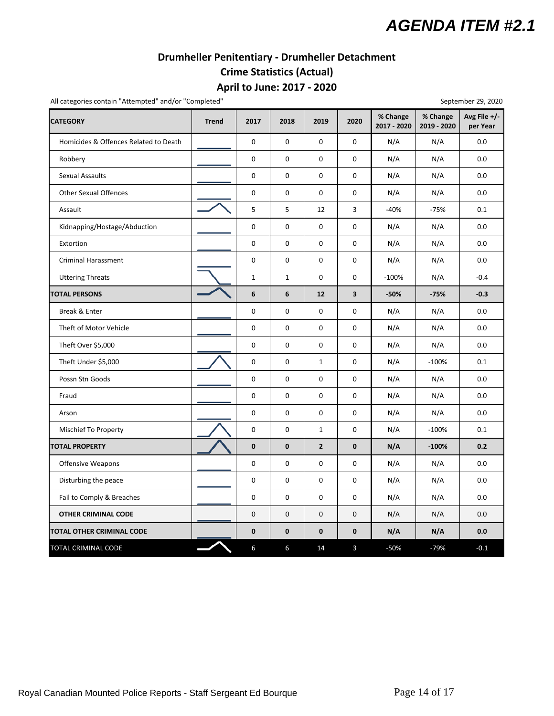#### **Drumheller Penitentiary ‐ Drumheller Detachment Crime Statistics (Actual)**

#### **April to June: 2017 ‐ 2020**

All categories contain "Attempted" and/or "Completed" September 29, 2020

**CATEGORY Trend 2017 2018 2019 2020 % Change 2017 ‐ 2020 % Change 2019 ‐ 2020 Avg File +/‐ per Year** Homicides & Offences Related to Death | 0 | 0 | 0 | 0 | N/A | N/A | 0.0 Robbery 0 0 0 0 N/A N/A 0.0 Sexual Assaults 0 0 0 0 N/A N/A 0.0 Other Sexual Offences **0 0 0 0 0 0 0 N/A** N/A 0.0 Assault 5 5 12 3 ‐40% ‐75% 0.1 Kidnapping/Hostage/Abduction | | 0 | 0 | 0 | 0 | N/A | N/A | 0.0 Extortion 0 0 0 0 N/A N/A 0.0 Criminal Harassment 0 0 0 0 N/A N/A 0.0 Uttering Threats 1 1 1 1 0 0 10 -100% N/A 1 -0.4 **TOTAL PERSONS 6 6 12 3 ‐50% ‐75% ‐0.3** Break & Enter 0 0 0 0 N/A N/A 0.0 Theft of Motor Vehicle **1.0 0 0 0 0 0 0 N/A** N/A 0.0 Theft Over \$5,000 | | | 0 | 0 | 0 | 0 | N/A | N/A | 0.0 Theft Under \$5,000 0 0 1 0 N/A ‐100% 0.1 Possn Stn Goods 0 0 0 0 N/A N/A 0.0 Fraud 0 0 0 0 N/A N/A 0.0 Arson 0 0 0 0 N/A N/A 0.0 Mischief To Property 0 0 1 0 N/A ‐100% 0.1 TOTAL PROPERTY **2 2 0 N/A 1 -100%** 0.2 Offensive Weapons 0 0 0 0 N/A N/A 0.0 Disturbing the peace 0 0 0 0 N/A N/A 0.0 Fail to Comply & Breaches **1** 0 0 0 0 0 N/A N/A 0.0  **OTHER CRIMINAL CODE** 0 0 0 0 N/A N/A 0.0 **TOTAL OTHER CRIMINAL CODE 0 0 0 0 N/A N/A 0.0** TOTAL CRIMINAL CODE 6 6 6 14 3 – 50% – 79% – 0.1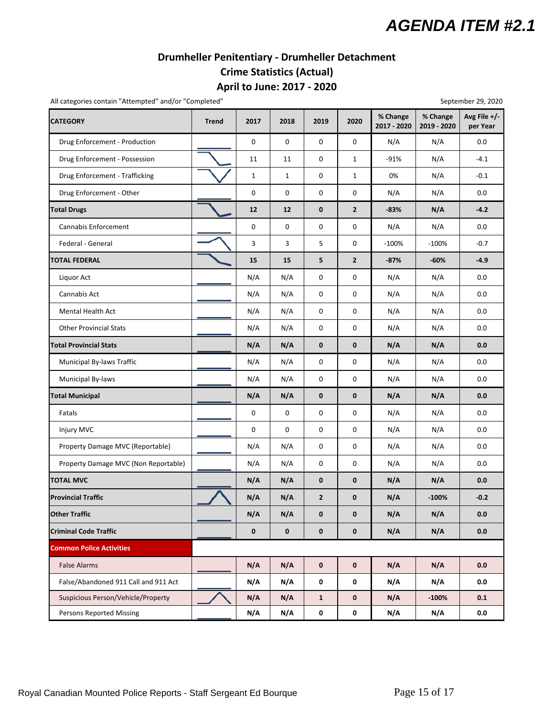### **Drumheller Penitentiary ‐ Drumheller Detachment Crime Statistics (Actual)**

#### **April to June: 2017 ‐ 2020**

All categories contain "Attempted" and/or "Completed" September 29, 2020

| <b>CATEGORY</b>                      | <b>Trend</b> | 2017         | 2018         | 2019           | 2020           | % Change<br>2017 - 2020 | % Change<br>2019 - 2020 | Avg File +/-<br>per Year |
|--------------------------------------|--------------|--------------|--------------|----------------|----------------|-------------------------|-------------------------|--------------------------|
| Drug Enforcement - Production        |              | $\mathbf 0$  | $\mathbf 0$  | $\mathbf 0$    | 0              | N/A                     | N/A                     | 0.0                      |
| Drug Enforcement - Possession        |              | 11           | 11           | 0              | $\mathbf{1}$   | $-91%$                  | N/A                     | $-4.1$                   |
| Drug Enforcement - Trafficking       |              | $\mathbf{1}$ | $\mathbf{1}$ | 0              | $\mathbf{1}$   | 0%                      | N/A                     | $-0.1$                   |
| Drug Enforcement - Other             |              | $\mathbf 0$  | $\mathsf 0$  | 0              | 0              | N/A                     | N/A                     | 0.0                      |
| <b>Total Drugs</b>                   |              | 12           | 12           | $\pmb{0}$      | $\overline{2}$ | $-83%$                  | N/A                     | $-4.2$                   |
| Cannabis Enforcement                 |              | $\mathbf 0$  | $\mathsf 0$  | $\mathsf 0$    | $\pmb{0}$      | N/A                     | N/A                     | $0.0\,$                  |
| Federal - General                    |              | $\mathsf{3}$ | 3            | 5              | $\pmb{0}$      | $-100%$                 | $-100%$                 | $-0.7$                   |
| TOTAL FEDERAL                        |              | 15           | 15           | 5              | $\mathbf{2}$   | $-87%$                  | $-60%$                  | $-4.9$                   |
| Liquor Act                           |              | N/A          | N/A          | 0              | 0              | N/A                     | N/A                     | 0.0                      |
| Cannabis Act                         |              | N/A          | N/A          | 0              | 0              | N/A                     | N/A                     | 0.0                      |
| <b>Mental Health Act</b>             |              | N/A          | N/A          | 0              | 0              | N/A                     | N/A                     | 0.0                      |
| <b>Other Provincial Stats</b>        |              | N/A          | N/A          | 0              | 0              | N/A                     | N/A                     | 0.0                      |
| <b>Total Provincial Stats</b>        |              | N/A          | N/A          | $\pmb{0}$      | 0              | N/A                     | N/A                     | 0.0                      |
| Municipal By-laws Traffic            |              | N/A          | N/A          | 0              | $\pmb{0}$      | N/A                     | N/A                     | $0.0\,$                  |
| Municipal By-laws                    |              | N/A          | N/A          | $\mathsf 0$    | $\pmb{0}$      | N/A                     | N/A                     | $0.0\,$                  |
| <b>Total Municipal</b>               |              | N/A          | N/A          | $\pmb{0}$      | $\pmb{0}$      | N/A                     | N/A                     | $0.0\,$                  |
| Fatals                               |              | $\pmb{0}$    | $\mathsf 0$  | $\mathsf 0$    | 0              | N/A                     | N/A                     | 0.0                      |
| Injury MVC                           |              | $\mathbf 0$  | $\mathbf 0$  | 0              | 0              | N/A                     | N/A                     | 0.0                      |
| Property Damage MVC (Reportable)     |              | N/A          | N/A          | 0              | 0              | N/A                     | N/A                     | 0.0                      |
| Property Damage MVC (Non Reportable) |              | N/A          | N/A          | 0              | 0              | N/A                     | N/A                     | 0.0                      |
| <b>TOTAL MVC</b>                     |              | N/A          | N/A          | $\pmb{0}$      | 0              | N/A                     | N/A                     | 0.0                      |
| <b>Provincial Traffic</b>            |              | N/A          | N/A          | $\overline{2}$ | 0              | N/A                     | $-100%$                 | $-0.2$                   |
| <b>Other Traffic</b>                 |              | N/A          | N/A          | $\bf{0}$       | 0              | N/A                     | N/A                     | 0.0                      |
| <b>Criminal Code Traffic</b>         |              | $\mathbf 0$  | $\pmb{0}$    | 0              | $\pmb{0}$      | N/A                     | N/A                     | 0.0                      |
| <b>Common Police Activities</b>      |              |              |              |                |                |                         |                         |                          |
| <b>False Alarms</b>                  |              | N/A          | N/A          | $\mathbf 0$    | $\mathbf 0$    | N/A                     | N/A                     | 0.0                      |
| False/Abandoned 911 Call and 911 Act |              | N/A          | N/A          | $\mathbf 0$    | 0              | N/A                     | N/A                     | 0.0                      |
| Suspicious Person/Vehicle/Property   |              | N/A          | N/A          | $\mathbf{1}$   | 0              | N/A                     | $-100%$                 | 0.1                      |
| <b>Persons Reported Missing</b>      |              | N/A          | N/A          | $\pmb{0}$      | 0              | N/A                     | N/A                     | 0.0                      |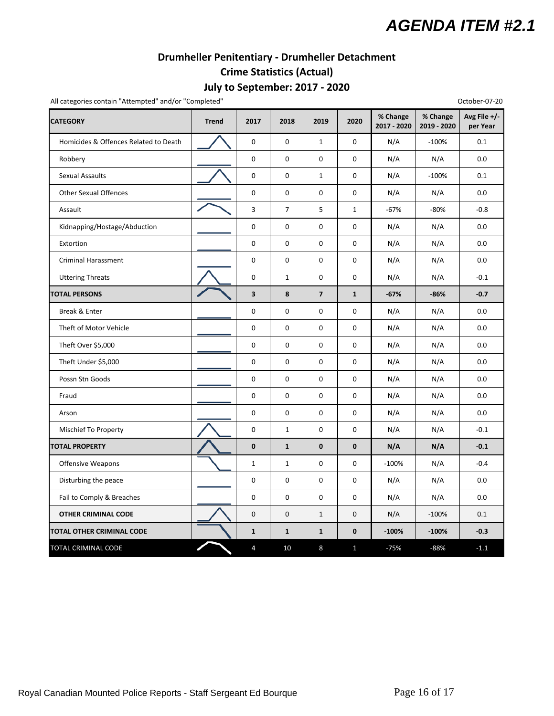## **Drumheller Penitentiary ‐ Drumheller Detachment**

### **Crime Statistics (Actual)**

### **July to September: 2017 ‐ 2020**

All categories contain "Attempted" and/or "Completed" **Completed and Completed** Contain the Completed of Completed Completed Completed Completed Completed Completed Completed Completed Completed Completed Completed Complet

| <b>CATEGORY</b>                       | <b>Trend</b> | 2017             | 2018           | 2019                    | 2020         | % Change<br>2017 - 2020 | % Change<br>2019 - 2020 | Avg File +/-<br>per Year |
|---------------------------------------|--------------|------------------|----------------|-------------------------|--------------|-------------------------|-------------------------|--------------------------|
| Homicides & Offences Related to Death |              | $\mathbf 0$      | $\mathbf 0$    | $\mathbf{1}$            | 0            | N/A                     | $-100%$                 | 0.1                      |
| Robbery                               |              | $\mathbf{0}$     | 0              | $\mathbf 0$             | 0            | N/A                     | N/A                     | 0.0                      |
| <b>Sexual Assaults</b>                |              | $\mathbf 0$      | $\mathbf 0$    | $\mathbf{1}$            | 0            | N/A                     | $-100%$                 | 0.1                      |
| <b>Other Sexual Offences</b>          |              | $\pmb{0}$        | 0              | 0                       | 0            | N/A                     | N/A                     | 0.0                      |
| Assault                               |              | 3                | $\overline{7}$ | 5                       | $\mathbf{1}$ | $-67%$                  | $-80%$                  | $-0.8$                   |
| Kidnapping/Hostage/Abduction          |              | $\mathbf 0$      | 0              | $\mathbf 0$             | 0            | N/A                     | N/A                     | 0.0                      |
| Extortion                             |              | $\mathbf 0$      | $\pmb{0}$      | $\mathbf 0$             | 0            | N/A                     | N/A                     | 0.0                      |
| <b>Criminal Harassment</b>            |              | $\mathbf 0$      | 0              | 0                       | 0            | N/A                     | N/A                     | $0.0\,$                  |
| <b>Uttering Threats</b>               |              | $\boldsymbol{0}$ | $\mathbf{1}$   | 0                       | 0            | N/A                     | N/A                     | $-0.1$                   |
| <b>TOTAL PERSONS</b>                  |              | 3                | 8              | $\overline{\mathbf{z}}$ | $\mathbf{1}$ | $-67%$                  | $-86%$                  | $-0.7$                   |
| Break & Enter                         |              | $\pmb{0}$        | 0              | $\mathbf 0$             | 0            | N/A                     | N/A                     | 0.0                      |
| Theft of Motor Vehicle                |              | $\mathbf{0}$     | $\mathbf 0$    | $\mathbf 0$             | 0            | N/A                     | N/A                     | 0.0                      |
| Theft Over \$5,000                    |              | $\pmb{0}$        | 0              | $\pmb{0}$               | $\mathbf 0$  | N/A                     | N/A                     | 0.0                      |
| Theft Under \$5,000                   |              | $\pmb{0}$        | 0              | $\pmb{0}$               | $\mathbf 0$  | N/A                     | N/A                     | 0.0                      |
| Possn Stn Goods                       |              | $\pmb{0}$        | 0              | 0                       | 0            | N/A                     | N/A                     | 0.0                      |
| Fraud                                 |              | $\mathbf 0$      | $\mathbf 0$    | $\mathbf 0$             | 0            | N/A                     | N/A                     | 0.0                      |
| Arson                                 |              | $\pmb{0}$        | 0              | $\pmb{0}$               | 0            | N/A                     | N/A                     | 0.0                      |
| Mischief To Property                  |              | $\mathbf 0$      | $\mathbf{1}$   | 0                       | 0            | N/A                     | N/A                     | $-0.1$                   |
| <b>TOTAL PROPERTY</b>                 |              | $\pmb{0}$        | $\mathbf{1}$   | $\pmb{0}$               | $\pmb{0}$    | N/A                     | N/A                     | $-0.1$                   |
| Offensive Weapons                     |              | $\mathbf{1}$     | $\mathbf{1}$   | $\pmb{0}$               | 0            | $-100%$                 | N/A                     | $-0.4$                   |
| Disturbing the peace                  |              | $\mathbf 0$      | $\mathbf 0$    | $\mathbf 0$             | 0            | N/A                     | N/A                     | 0.0                      |
| Fail to Comply & Breaches             |              | $\pmb{0}$        | 0              | $\pmb{0}$               | $\mathbf 0$  | N/A                     | N/A                     | 0.0                      |
| <b>OTHER CRIMINAL CODE</b>            |              | $\mathbf 0$      | $\mathbf 0$    | $\mathbf{1}$            | 0            | N/A                     | $-100%$                 | 0.1                      |
| TOTAL OTHER CRIMINAL CODE             |              | $\mathbf{1}$     | $\mathbf{1}$   | $\mathbf{1}$            | 0            | $-100%$                 | $-100%$                 | $-0.3$                   |
| TOTAL CRIMINAL CODE                   |              | 4                | 10             | 8                       | $\mathbf{1}$ | $-75%$                  | $-88%$                  | $-1.1$                   |